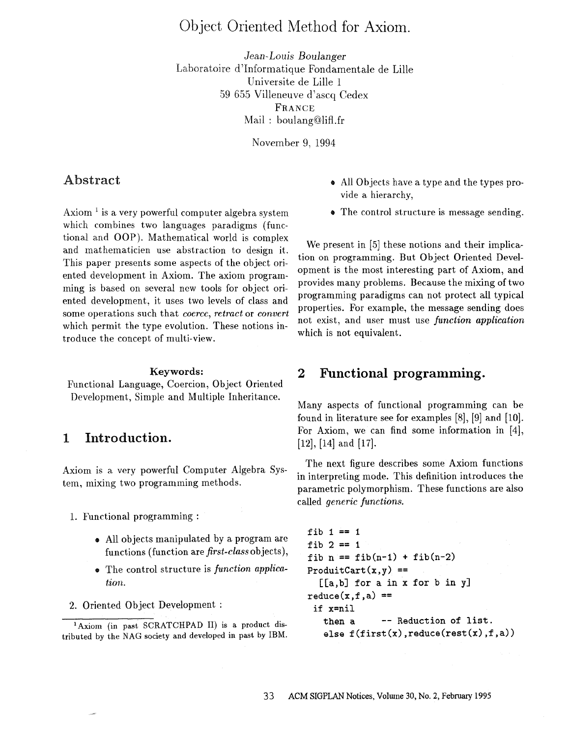# Object Oriented Method for Axiom.

*Jean-Louis Boulanger*  Laboratoire d'Informatique Fondamentale de Lille Universite de Lille 1 59 655 Villeneuve d'ascq Cedex FRANCE Mail: boulang@lifl.fr

November 9, 1994

## **Abstract**

Axiom  $<sup>1</sup>$  is a very powerful computer algebra system</sup> which combines two languages paradigms (functional and OOP). Mathematical world is complex and mathematicien use abstraction to design it. This paper presents some aspects of the object oriented development in Axiom. The axiom programming is based on several new tools for object oriented development, it uses two levels of class and some operations such that *coerce, retract* or *convert*  which permit the type evolution. These notions introduce the concept of multi-view.

#### **Keywords:**

Functional Language, Coercion, Object Oriented Development, Simple and Multiple Inheritance.

# **1 Introduction.**

Axiom is a very powerful Computer Algebra System, mixing two programming methods.

- 1. Functional programming :
	- ® All objects manipulated by a program are functions (function are *first-class* objects),
	- ® The control structure is *function application.*
- 2. Oriented Object Development :
- ® All Objects have a type and the types provide a hierarchy,
- The control structure is message sending.

We present in [5] these notions and their implication on programming. But Object Oriented Development is the most interesting part of Axiom, and provides many problems. Because the mixing of two programming paradigms can not protect all typical properties. For example, the message sending does not exist, and user must use *function application*  which is not equivalent.

## **2 Functional programming.**

Many aspects of functional programming can be found in literature see for examples [8], [9] and [10]. For Axiom, we can find some information in [4], [12], [14] and [17].

The next figure describes some Axiom functions in interpreting mode. This definition introduces the parametric polymorphism. These functions are also called *generic functions.* 

```
fib 1 == 1fib 2 == 1fib n = fib(n-1) + fib(n-2)ProduitCart(x,y) ==
  [[a,b] for a in x for b in y] 
reduce(x, f, a) ==
 if x=nil 
   then a -- Reduction of list.
   else f(first(x), reduce(rest(x), f, a))
```
<sup>&</sup>lt;sup>1</sup> Axiom (in past SCRATCHPAD II) is a product distributed by the NAG society and developed in past by IBM.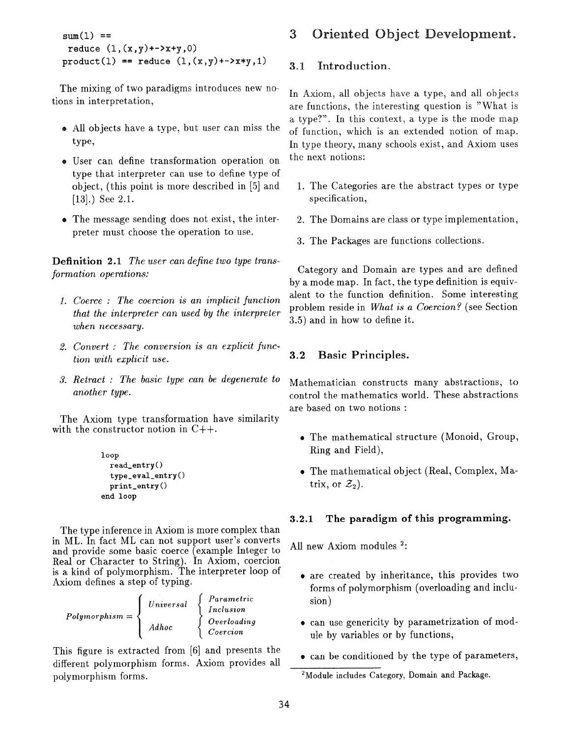```
sum(l) == 
 reduce (1, (x, y)+->x+y,0)
product(1) == reduce (1,(x,y)+->x*y,1)
```
The mixing of two paradigms introduces new notions in interpretation,

- ® All objects have a type, but user can miss the type,
- User can define transformation operation on type that interpreter can use to define type of object, (this point is more described in [5] and [13].) See 2.1.
- The message sending does not exist, the interpreter must choose the operation to use.

Definition 2.1 *The user can define two type transformation operations:* 

- *. Coerce : The coercion is an implicit function that the interpreter can used by the interpreter when necessary.*
- *. Convert : The conversion is an explicit function with explicit use.*
- *. Retract : The basic type can be degenerate to another type.*

The Axiom type transformation have similarity with the constructor notion in  $C++$ .

```
loop 
  read_entry() 
  type_eval entry() 
  print_entry() 
end loop
```
The type inference in Axiom is more complex than in ML. In fact ML can not support user's converts and provide some basic coerce (example Integer to Real or Character to String). In Axiom, coercion is a kind of potymorphism. The interpreter loop of Axiom defines a step of typing.

| Polymorphism $=$ $\langle$ | Universal | Parametric<br>Inclusion |
|----------------------------|-----------|-------------------------|
|                            | Adhoc     | Overloading<br>Coercion |

This figure is extracted from [6] and presents the different polymorphism forms. Axiom provides all polymorphism forms.

# **3 Oriented Object Development.**

### 3.1 Introduction.

In Axiom, all objects have a type, and all objects are functions, the interesting question is "What is a type?". In this context, a type is the mode map of function, which is an extended notion of map. In type theory, many schools exist, and Axiom uses the next notions:

- 1. The Categories are the abstract types or type specification,
- 2. The Domains are class or type implementation,
- 3. The Packages are functions collections.

Category and Domain are types and are defined by a mode map. In fact, the type definition is equivalent to the function definition. Some interesting problem reside in *What is a Coercion?* (see Section 3.5) and in how to define it.

### 3.2 Basic Principles.

Mathematician constructs many abstractions, to control the mathematics world. These abstractions are based on two notions :

- The mathematical structure (Monoid, Group, Ring and Field),
- The mathematical object (Real, Complex, Matrix, or  $\mathcal{Z}_2$ ).

## 3.2.1 The paradigm of this programming.

All new Axiom modules <sup>2</sup>:

- are created by inheritance, this provides two forms of polymorphism (overloading and inclusion)
- can use genericity by parametrization of module by variables or by functions,
- ® can be conditioned by the type of parameters,

<sup>&</sup>lt;sup>2</sup>Module includes Category, Domain and Package.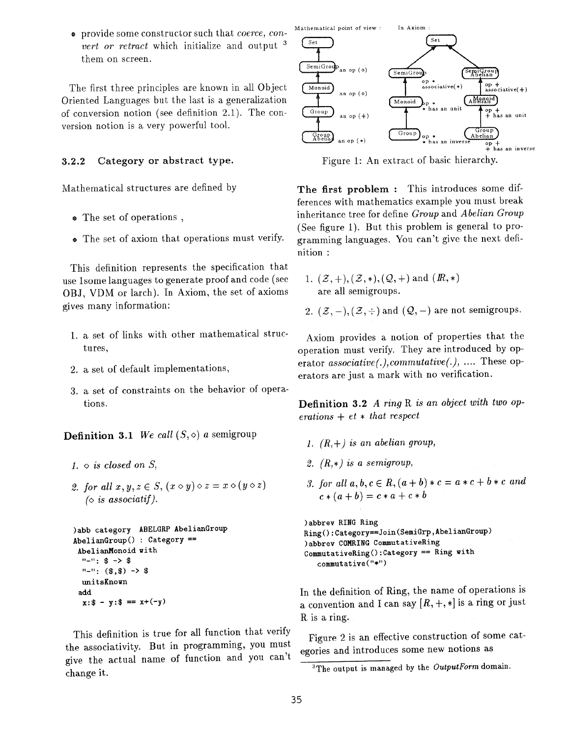® provide some constructor such that *coerce, convert or retract* which initialize and output 3 them on screen.

The first three principles are known in all Object Oriented Languages but the last is a generalization of conversion notion (see definition 2.1). The conversion notion is a very powerful tool.

#### 3.2.2 Category or abstract type.

Mathematical structures are defined by

- ® The set of operations ,
- ® The set of axiom that operations must verify.

This definition represents the specification that use lsome languages to generate proof and code (see OBJ, VDM or larch). In Axiom, the set of axioms gives many information:

- 1. a set of links with other mathematical structures,
- 2. a set of default implementations,
- 3. a set of constraints on the behavior of operations.

**Definition 3.1** We call  $(S, \diamond)$  a semigroup

- *1. o is closed on S,*
- 2. for all  $x, y, z \in S$ ,  $(x \circ y) \circ z = x \circ (y \circ z)$  $\Diamond$  *is associatif*).

```
)abb category ABELGRP AbelianGroup 
AbelianGroup() : Category == 
 AbelianMonoid with 
  .... \frac{1}{2} \rightarrow $
  ...... (\$,\$) -> \$unitsKnown 
 add 
  x: $ - y: $ == x+(-y)
```
This definition is true for all function that verify the associativity. But in programming, you must give the actual name of function and you can't change it.



Figure 1: An extract of basic hierarchy.

The first problem : This introduces some differences with mathematics example you nmst break inheritance tree for define *Group* and *Abelian Group*  (See figure 1). But this problem is general to programming languages. You can't give the next definition :

1.  $(\mathcal{Z}, +), (\mathcal{Z}, *), (\mathcal{Q}, +)$  and  $(R, *)$ are all semigroups.

2.  $(\mathcal{Z}, -), (\mathcal{Z}, \div)$  and  $(\mathcal{Q}, -)$  are not semigroups.

Axiom provides a notion of properties that the operation must verify. They are introduced by operator *associative(.),commutative(.), ....* These operators are just a mark with no verification.

Definition 3.2 *A ring R is an object with two operations + et • that respect* 

- *1. (R,+) is an abelian group,*
- *2. (R,\*) is a semigroup,*
- *3. for all a, b, c*  $\in$  *R,*  $(a + b) * c = a * c + b * c$  *and*  $c*(a+b) = c*a + c*b$

)abbrev RING Ring Ring():Category==Join(SemiGrp,AbelianGroup) )abbrev COMRING CommutativeRing CommutativeRing():Category *==* Ring with commutative("\*")

In the definition of Ring, the name of operations is a convention and I can say  $[R, +, *]$  is a ring or just R is a ring.

Figure 2 is an effective construction of some categories and introduces some new notions as

<sup>3</sup>The output is managed by the *OutputForm* domain: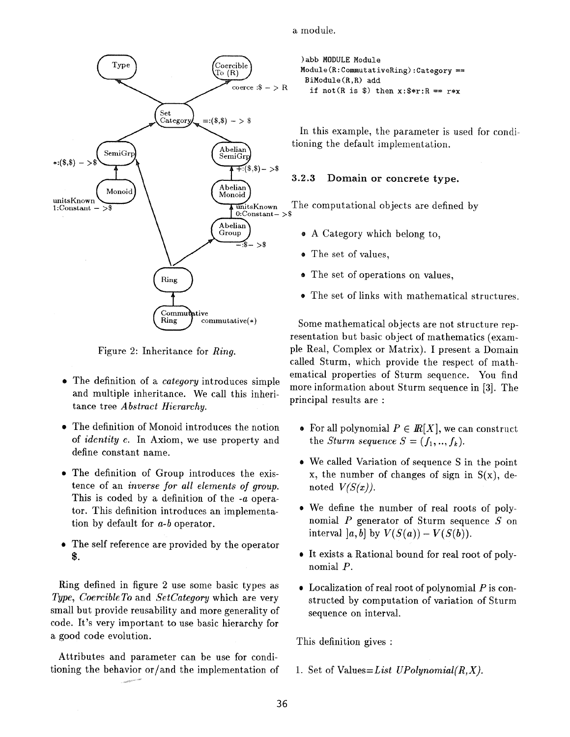a module.



Figure 2: Inheritance for *Ring.* 

- ® The definition of a *category* introduces simple and multiple inheritance. We call this inheritance tree *Abstract Hierarchy.*
- The definition of Monoid introduces the notion of *identity e.* In Axiom, we use property and define constant name.
- The definition of Group introduces the existence of an *inverse for all elements of group.*  This is coded by a definition of the -a operator. This definition introduces an implementation by default for *a-b* operator.
- The self reference are provided by the operator \$.

Ring defined in figure 2 use some basic types as *Type, Coercible To* and *SetCategory* which are very small but provide reusability and more generality of code. It's very important to use basic hierarchy for a good code evolution.

Attributes and parameter can be use for conditioning the behavior or/and the implementation of **)abb** MODULE Module Module(R:CommutativeRing):Category == BiModule(R,R) add if not(R is  $\hat{\mathbf{s}}$ ) then  $\mathbf{x}:\hat{\mathbf{s}}*\mathbf{r}:R == r*\mathbf{x}$ 

In this example, the parameter is used for conditioning the default implementation.

### 3.2.3 Domain or concrete type.

- A Category which belong to,
- The set of values.
- The set of operations on values,
- The set of links with mathematical structures.

Some mathematical objects are not structure representation but basic object of mathematics (example Real, Complex or Matrix). I present a Domain called Sturm, which provide the respect of mathematical properties of Sturm sequence. You find more information about Sturm sequence in [3]. The principal results are :

- For all polynomial  $P \in I\!\!R[X]$ , we can construct the *Sturm sequence*  $S = (f_1, ..., f_k)$ .
- We called Variation of sequence S in the point  $x$ , the number of changes of sign in  $S(x)$ , denoted  $V(S(x))$ .
- We define the number of real roots of polynomial  $P$  generator of Sturm sequence  $S$  on interval  $[a, b]$  by  $V(S(a)) - V(S(b))$ .
- It exists a Rational bound for real root of polynomial P.
- $\bullet$  Localization of real root of polynomial P is constructed by computation of variation of Sturm sequence on interval.

This definition gives :

1. Set of *Values=List UPolynomial(R,X).*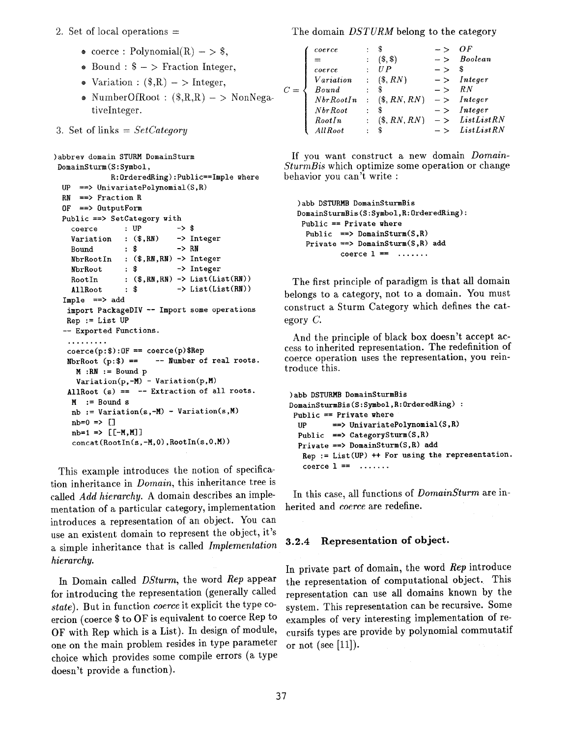#### 2. Set of local operations  $=$

- coerce : Polynomial $(R)$  > \$,
- Bound :  $\phi$  > Fraction Integer,
- $\bullet$  Variation :  $(\text{\textsterling}, R) \gt \text{Integer}$ ,
- NumberOfRoot :  $(\text{R}, R, R) \text{NonNega}$ tiveInteger.
- 3. Set of links = *SetCategory*

```
)abbrev domain STURM DomainSturm 
DomainSturm(S:Symbol, 
            R:OrderedRing):Public==Imple where 
 UP \implies UnivariatePolynomial(S,R)
 RN ==> Fraction R
 0F ==> 0utputForm 
 Public ==> SetCategory with 
   coerce : UP \rightarrow $
   Variation : ($,RN) -> Integer
   Bound : \text{\$} -> RN
   NbrRootIn : ($,RN,RN) -> Integer 
   NbrRoot : $ -> Integer
   RootIn : ($, RN, RN) \rightarrow List(List(RN))AllRoot : \$ -> List(List(RN))Imple ==> add 
   import PackageDIY -- Import some operations 
  Rep := List UP-- Exported Functions. 
   .°°...... 
   \text{coerce}(p:$): OF == \text{coerce}(p)$Rep
   NbrRoot (p: $) == - Number of real roots.
    M : RN := Bound pVariation(p, -M) - Variation(p, M)AllRoot (s) == - Extraction of all roots.
    M := Bound snb := Variation(s, -M) - Variation(s, M)nb=0 \implies []nb=1 => [[-M,M]]
    concat(RootIn(s, -M, 0), RootIn(s, 0, M))
```
This example introduces the notion of specification inheritance in *Domain,* this inheritance tree is called *Add hierarchy.* A domain describes an implementation of a particular category, implementation introduces a representation of an object. You can use an existent domain to represent the object, it's a simple inheritance that is called *Implementation hierarchy.* 

In Domain called *DSturm,* the word *Rep* appear for introducing the representation (generally called *state).* But in function *coerce* it explicit the type coercion (coerce \$ to OF is equivalent to coerce Rep to OF with Rep which is a List). In design of module, one on the main problem resides in type parameter choice which provides some compile errors (a type doesn't provide a function).

The domain *DSTURM* belong to the category

| coerce    |               |                |      | ΩF                        |
|-----------|---------------|----------------|------|---------------------------|
|           |               | $($ ,\$\$\     | $ >$ | Boolean                   |
| coerce    |               | UP             | - >  | \$                        |
| Variation | $\mathcal{L}$ | $(\$, RN)$     |      | $-$ > Integer             |
| Bound     |               |                | $ >$ | R N                       |
| NbrRootIn |               | $(\$, RN, RN)$ |      | $\vert - \rangle$ Integer |
| Nbr Root  |               |                |      | $-$ > Integer             |
| RootIn    |               | (S, RN, RN)    |      | $-$ > ListListRN          |
| All Root  |               |                |      | ListList RN               |
|           |               |                |      |                           |

If you want construct a new domain *Domain-SturmBis* which optimize some operation or change behavior you can't write :

```
)abb DSTURMB DomainSturmBis 
DomainSturmBis(S:Symbol,R:OrderedRing): 
Public == Private where 
 Public ==> DomainSturm(S,R)
 Private ==> DomainSturm(S,R) add
          coerce 1 = 1......
```
The first principle of paradigm is that all domain belongs to a category, not to a domain. You must construct a Sturm Category which defines the category C.

And the principle of black box doesn't accept access to inherited representation. The redefinition of coerce operation uses the representation, you reintroduce this.

```
)abb DSTURMB DomainSturmBis 
DomainSturmBis(S:Symbol,R:OrderedRing) : 
Public == Private where
 UP ==> UnivariatePolynomial(S,R) 
 Public \Rightarrow CategorySturm(S,R)
 Private ==> DomainSturm(S,R) add 
   Rep := List(UP) ++ For using the representation. 
   coerce 1 == .......
```
In this case, all functions of *DomainSturm* are inherited and *coerce* are redefine.

#### **3.2.4 Representation of object.**

In private part of domain, the word *Rep* introduce the representation of computational object. This representation can use all domains known by the system. This representation can be recursive. Some examples of very interesting implementation of recursifs types are provide by polynomial commutatif or not (see  $[11]$ ).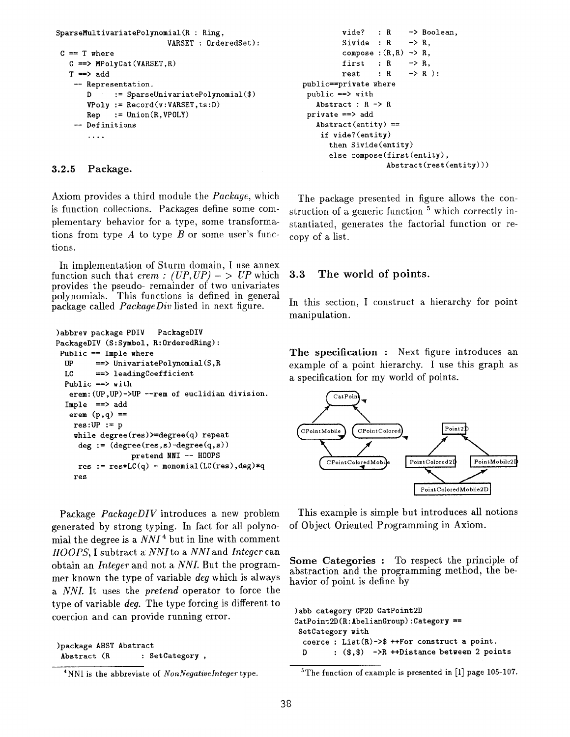```
SparseMultivariatePolynomial(R : Ring, 
                           VARSET : 0rderedSet): 
 C = T where
   C \implies MPolyCat(VARSET, R)T \implies add-- Representation. 
       D := SparseUnivariatePolynomial($) 
       VPoly := Record(v:VARSET, ts:D)Rep := Union(R, VPOLY)
    -- Definitions 
       \ldots .
```
#### **3.2.5 Package.**

Axiom provides a third module the *Package,* which is function collections. Packages define some complementary behavior for a type, some transformations from type  $A$  to type  $B$  or some user's functions.

In implementation of Sturm domain, I use annex function such that  $\text{erem}$  :  $(UP, UP)$  - >  $UP$  which provides the pseudo- remainder of two univariates polynomials. This functions is defined in general package called *PackageDiv* listed in next figure.

```
)abbrev package PDIV PackageDIV 
PackageDIV (S:Symbol, R:0rderedRing): 
Public == Imple where 
  UP ==> UnivariatePolynomial(S,R 
  LC ==> leadingCoefficient 
  Public == with
   erem:(UP,UP)->UP --rem of euclidian division. 
  Imple ==> add 
   erem (p,q) == 
    res:UP := pwhile degree(res)>=degree(q) repeat 
     deg := (\text{degree}(res, s) - \text{degree}(q, s))pretend NNI -- H00PS 
     res := res*LC(q) - monomial(LC(res), deg)*q
    res
```
Package *PackageDIV* introduces a new problem generated by strong typing. In fact for all polynomial the degree is a *NNI 4* but in line with comment *HOOPS,* I subtract a *NNI to a NNI and Integer* can obtain an *Integer* and not a *NNL* But the programmet known the type of variable *deg* which is always *a NNI.* It uses the *pretend* operator to force the type of variable *deg.* The type forcing is different to coercion and can provide running error.

```
)package ABST Abstract 
Abstract (R : SetCategory,
```

```
4NNI is the abbreviate of NonNegativelnteger type.
```

```
vide? : R -> Boolean,
         Sivide : R \rightarrow R.
         compose :(R,R) \rightarrow R.
         first : R -> R,
         rest : R -> R):
public==private where 
public ==> with 
   Abstract : R -> R 
private ==> add 
   Abstract(entity) ==if vide?(entity) 
      then Sivide(entity) 
      else compose(first(entity), 
                   Abstract(rest(entity)))
```
The package presented in figure allows the construction of a generic function  $5$  which correctly instantiated, generates the factorial function or recopy of a list.

### 3.3 The world of points.

In this section, I construct a hierarchy for point manipulation.

The **specification :** Next figure introduces an example of a point hierarchy. I use this graph as a specification for my world of points.



This example is simple but introduces all notions of Object Oriented Programming in Axiom.

Some **Categories :** To respect the principle of abstraction and the programming method, the behavior of point is define by

```
)abb category CP2D CatPoint2D 
CatPoint2D(R:AbelianGroup):Category ==
SetCategory with 
 coerce : List(R) \rightarrow$ ++For construct a point.
 D : ($.$) ->R ++Distance between 2 points
```
 $5$ The function of example is presented in [1] page 105-107.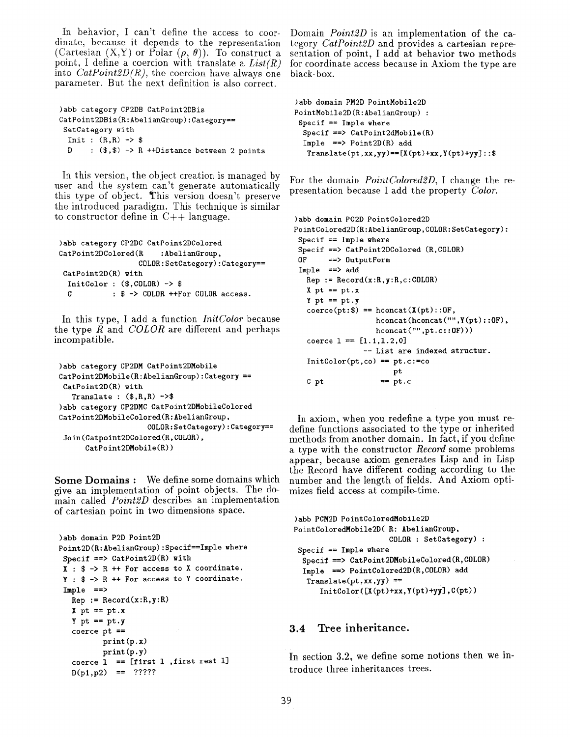In behavior, I can't define the access to coordinate, because it depends to the representation (Cartesian  $(X,Y)$  or Polar  $(\rho, \theta)$ ). To construct a point, I define a coercion with translate a *List(R)*  into  $CatPoint2D(R)$ , the coercion have always one parameter. But the next definition is also correct.

```
)abb category CP2DB CatPoint2DBis 
CatPoint2DBis(R:AbelianGroup):Category== 
 SetCategory with 
  Init : (R,R) \rightarrow $D : (\text{$\frac{1}{5}$}, \text{$\frac{1}{5}$}) -> R ++Distance between 2 points
```
In this version, the object creation is managed by user and the system can't generate automatically this type of object. This version doesn't preserve the introduced paradigm. This technique is similar to constructor define in  $C++$  language.

```
)abb category CP2DC CatPoint2DColored 
CatPoint2DColored(R : AbelianGroup,
                  COLOR:SetCategory):Category== 
CatPoint2D(R) with 
 InitColor : ($,COLOR) -> $ 
 C : \frac{1}{2} -> COLOR ++For COLOR access.
```
In this type, I add a function *InitColor* because the type R and *COLOR* are different and perhaps incompatible.

```
)abb category CP2DM CatPoint2DMobile 
CatPoint2DMobile(R:AbelianGroup):Category == 
 CatPoint2D(R) with 
   Translate : (\text{${\$},{\$}, {\$},{\$}}) ->$
)abb category CP2DMC CatPoint2DMobileColored 
CatPoint2DMobileColored(R:AbelianGroup, 
                      COLOR:SetCategory):Category== 
 Join(Catpoint2DColored(R,COLOR), 
      CatPoint2DMobile(R))
```
Some Domains : We define some domains which give an implementation of point objects. The domain called *Point2D* describes an implementation of cartesian point in two dimensions space.

```
)abb domain P2D Point2D 
Point2D(R:AbelianGroup):Specif==Imple where 
 Specif \Rightarrow CatPoint2D(R) with
 X : $ -> R ++ For access to X coordinate. 
 Y : $ -> R ++ For access to Y coordinate. 
 Imple ==>
  Rep := Record(x:R,y:R)X pt == pt.x
   Y pt == pt.y
   c<sub>o</sub> coerce pt ==print(p.x) 
          print(p.y) 
   coerce 1 = [first 1 , first rest 1]D(p1, p2) = 7?????
```
Domain *Point2D* is an implementation of the category *CatPoint2D* and provides a cartesian representation of point, I add at behavior two methods for coordinate access because in Axiom the type are black-box.

```
)abb domain PM2D PointMobile2D 
PointMobile2D(R:AbelianGroup) : 
 Specif == Imple where 
 Specif ==> CatPoint2dMobile(R) 
  Imple \implies Point2D(R) add
  Translate(pt, xx, yy) == [X(pt)+xx, Y(pt)+yy]::
```
For the domain *PointColored2D*, I change the representation because I add the property *Color*.

```
)abb domain PC2D PointColored2D 
PointColored2D(R:AbelianGroup,COLOR:SetCategory): 
 Specif == Imple whereSpecif ==> CatPoint2DColored (R,COLOR) 
 OF ==> OutputForm 
 Imple ==> add 
   Rep := Record(x:R,y:R,c:COLOR)X pt == pt.x
   Y pt = pt.y\text{coerce}(\text{pt}:\$) == \text{hconcat}(X(\text{pt}):\text{:}OF,hconcat(hconcat("",Y(pt)::OF), 
                    hconcat("",pt.c::OF))) 
   coerce 1 == [1.1, 1.2, 0]-- List are indexed structur. 
   InitColor(pt, co) == pt.c := copt 
   C pt == pt.c
```
In axiom, when you redefine a type you must redefine functions associated to the type or inherited methods from another domain. In fact, if you define a type with the constructor *Record* some problems appear, because axiom generates Lisp and in Lisp the Record have different coding according to the number and the length of fields. And Axiom optimizes field access at compile-time.

```
)abb PCM2D PointColoredMobile2D 
PointColoredMobile2D( R: AbelianGroup, 
                      COLOR : SetCategory) : 
 Specif == Imple where
  Specif ==> CatPoint2DMobileColored(R,COLOR) 
  Imple ==> PointColored2D(R,COLOR) add 
  Translate(pt,xx,yy) == 
      InitColor([X(pt)+xx,Y(pt)+yy],C(pt))
```
#### **3.4 Tree inheritance.**

In section 3.2, we define some notions then we introduce three inheritances trees.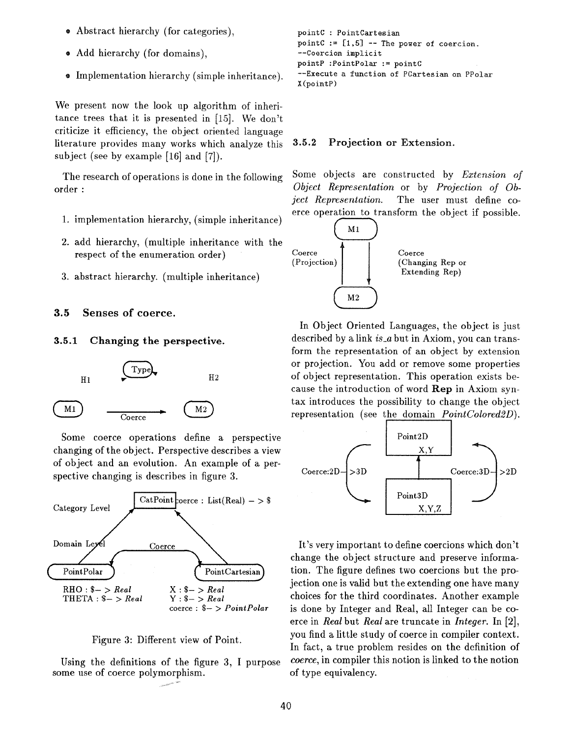- ® Abstract hierarchy (for categories),
- ® Add hierarchy (for domains),
- Implementation hierarchy (simple inheritance).

We present now the look up algorithm of inheritance trees that it is presented in [15]. We don't criticize it efficiency, the object oriented language literature provides many works which analyze this subject (see by example [16] and [7]).

The research of operations is done in the following order :

- 1. implementation hierarchy, (simple inheritance)
- 2. add hierarchy, (multiple inheritance with the respect of the enumeration order)
- 3. abstract hierarchy. (multiple inheritance)

### 3.5 Senses of coerce.

#### 3.5.1 Changing **the perspective.**



Some coerce operations define a perspective changing of the object. Perspective describes a view of object and an evolution. An example of a perspective changing is describes in figure 3.



Figure 3: Different view of Point.

Using the definitions of the figure 3, I purpose some use of coerce polymorphism.

```
pointC : PointCartesian 
pointC := [1, 5] -- The power of coercion.
--Coercion implicit 
pointP : PointPolar := pointC--Execute a function of PCartesian on PPolar 
X(pointP)
```
#### 3.5.2 Projection or Extension.

Some objects are constructed by *Extension of Object Representation* or by *Projection of Object Representation.* The user must define coerce operation to transform the object if possible.



In Object Oriented Languages, the object is just described by a link is\_a but in Axiom, you can transform the representation of an object by extension or projection. You add or remove some properties of object representation. This operation exists because the introduction of word Rep in Axiom syntax introduces the possibihty to change the object representation (see the domain *PointColored2D).* 



It's very important to define coercions which don't change the object structure and preserve information. The figure defines two coercions but the projection one is valid but the extending one have many choices for the third coordinates. Another example is done by Integer and Real, all Integer can be coerce in *Real* but *Real* are truncate in *Integer.* In [2], you find a little study of coerce in compiler context. In fact, a true problem resides on the definition of *coerce,* in compiler this notion is linked to the notion of type equivalency.